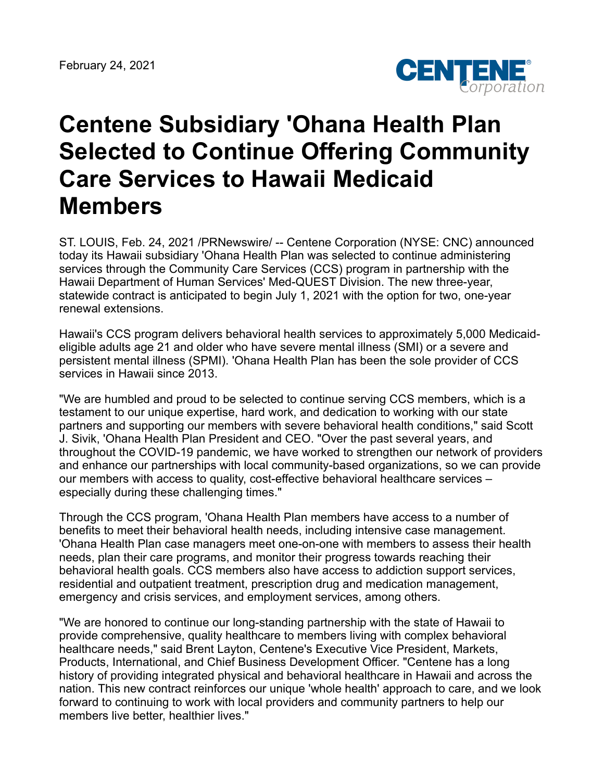

## **Centene Subsidiary 'Ohana Health Plan Selected to Continue Offering Community Care Services to Hawaii Medicaid Members**

ST. LOUIS, Feb. 24, 2021 /PRNewswire/ -- Centene Corporation (NYSE: CNC) announced today its Hawaii subsidiary 'Ohana Health Plan was selected to continue administering services through the Community Care Services (CCS) program in partnership with the Hawaii Department of Human Services' Med-QUEST Division. The new three-year, statewide contract is anticipated to begin July 1, 2021 with the option for two, one-year renewal extensions.

Hawaii's CCS program delivers behavioral health services to approximately 5,000 Medicaideligible adults age 21 and older who have severe mental illness (SMI) or a severe and persistent mental illness (SPMI). 'Ohana Health Plan has been the sole provider of CCS services in Hawaii since 2013.

"We are humbled and proud to be selected to continue serving CCS members, which is a testament to our unique expertise, hard work, and dedication to working with our state partners and supporting our members with severe behavioral health conditions," said Scott J. Sivik, 'Ohana Health Plan President and CEO. "Over the past several years, and throughout the COVID-19 pandemic, we have worked to strengthen our network of providers and enhance our partnerships with local community-based organizations, so we can provide our members with access to quality, cost-effective behavioral healthcare services – especially during these challenging times."

Through the CCS program, 'Ohana Health Plan members have access to a number of benefits to meet their behavioral health needs, including intensive case management. 'Ohana Health Plan case managers meet one-on-one with members to assess their health needs, plan their care programs, and monitor their progress towards reaching their behavioral health goals. CCS members also have access to addiction support services, residential and outpatient treatment, prescription drug and medication management, emergency and crisis services, and employment services, among others.

"We are honored to continue our long-standing partnership with the state of Hawaii to provide comprehensive, quality healthcare to members living with complex behavioral healthcare needs," said Brent Layton, Centene's Executive Vice President, Markets, Products, International, and Chief Business Development Officer. "Centene has a long history of providing integrated physical and behavioral healthcare in Hawaii and across the nation. This new contract reinforces our unique 'whole health' approach to care, and we look forward to continuing to work with local providers and community partners to help our members live better, healthier lives."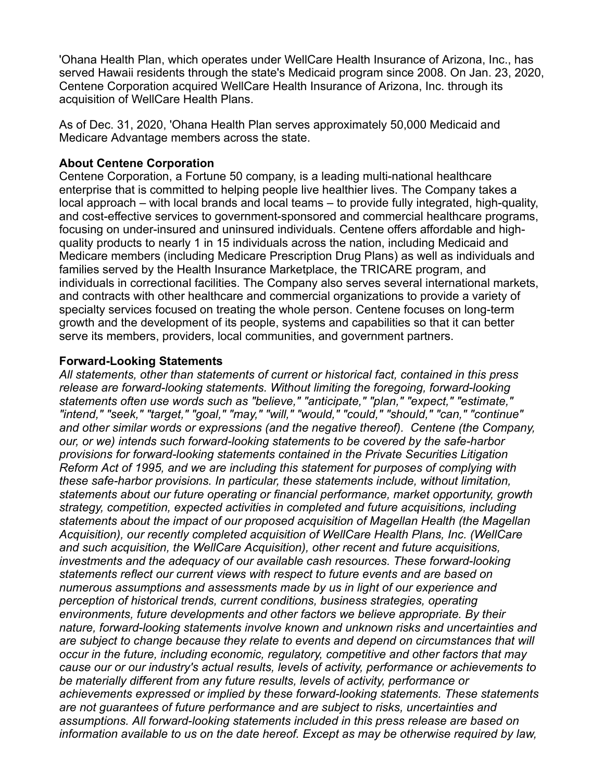'Ohana Health Plan, which operates under WellCare Health Insurance of Arizona, Inc., has served Hawaii residents through the state's Medicaid program since 2008. On Jan. 23, 2020, Centene Corporation acquired WellCare Health Insurance of Arizona, Inc. through its acquisition of WellCare Health Plans.

As of Dec. 31, 2020, 'Ohana Health Plan serves approximately 50,000 Medicaid and Medicare Advantage members across the state.

## **About Centene Corporation**

Centene Corporation, a Fortune 50 company, is a leading multi-national healthcare enterprise that is committed to helping people live healthier lives. The Company takes a local approach – with local brands and local teams – to provide fully integrated, high-quality, and cost-effective services to government-sponsored and commercial healthcare programs, focusing on under-insured and uninsured individuals. Centene offers affordable and highquality products to nearly 1 in 15 individuals across the nation, including Medicaid and Medicare members (including Medicare Prescription Drug Plans) as well as individuals and families served by the Health Insurance Marketplace, the TRICARE program, and individuals in correctional facilities. The Company also serves several international markets, and contracts with other healthcare and commercial organizations to provide a variety of specialty services focused on treating the whole person. Centene focuses on long-term growth and the development of its people, systems and capabilities so that it can better serve its members, providers, local communities, and government partners.

## **Forward-Looking Statements**

*All statements, other than statements of current or historical fact, contained in this press release are forward-looking statements. Without limiting the foregoing, forward-looking statements often use words such as "believe," "anticipate," "plan," "expect," "estimate," "intend," "seek," "target," "goal," "may," "will," "would," "could," "should," "can," "continue" and other similar words or expressions (and the negative thereof). Centene (the Company, our, or we) intends such forward-looking statements to be covered by the safe-harbor provisions for forward-looking statements contained in the Private Securities Litigation Reform Act of 1995, and we are including this statement for purposes of complying with these safe-harbor provisions. In particular, these statements include, without limitation, statements about our future operating or financial performance, market opportunity, growth strategy, competition, expected activities in completed and future acquisitions, including statements about the impact of our proposed acquisition of Magellan Health (the Magellan Acquisition), our recently completed acquisition of WellCare Health Plans, Inc. (WellCare and such acquisition, the WellCare Acquisition), other recent and future acquisitions, investments and the adequacy of our available cash resources. These forward-looking statements reflect our current views with respect to future events and are based on numerous assumptions and assessments made by us in light of our experience and perception of historical trends, current conditions, business strategies, operating environments, future developments and other factors we believe appropriate. By their nature, forward-looking statements involve known and unknown risks and uncertainties and are subject to change because they relate to events and depend on circumstances that will occur in the future, including economic, regulatory, competitive and other factors that may cause our or our industry's actual results, levels of activity, performance or achievements to be materially different from any future results, levels of activity, performance or achievements expressed or implied by these forward-looking statements. These statements are not guarantees of future performance and are subject to risks, uncertainties and assumptions. All forward-looking statements included in this press release are based on information available to us on the date hereof. Except as may be otherwise required by law,*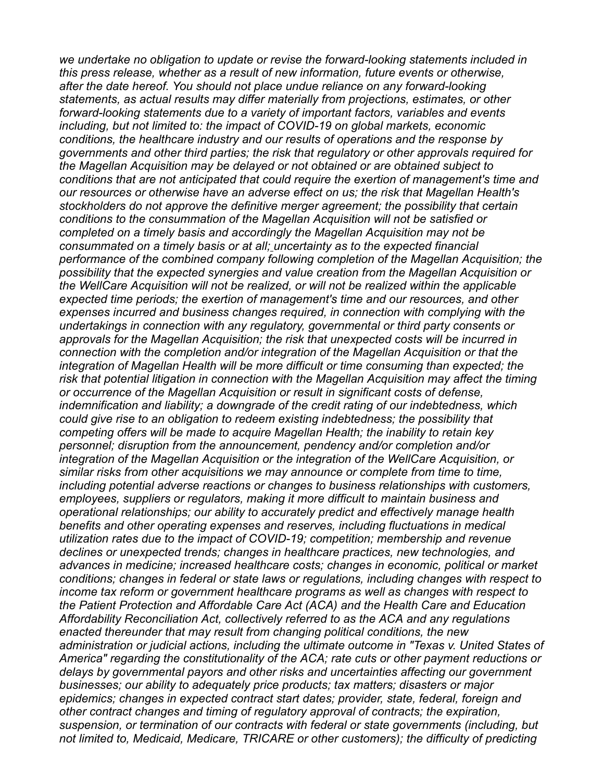*we undertake no obligation to update or revise the forward-looking statements included in this press release, whether as a result of new information, future events or otherwise, after the date hereof. You should not place undue reliance on any forward-looking statements, as actual results may differ materially from projections, estimates, or other forward-looking statements due to a variety of important factors, variables and events including, but not limited to: the impact of COVID-19 on global markets, economic conditions, the healthcare industry and our results of operations and the response by governments and other third parties; the risk that regulatory or other approvals required for the Magellan Acquisition may be delayed or not obtained or are obtained subject to conditions that are not anticipated that could require the exertion of management's time and our resources or otherwise have an adverse effect on us; the risk that Magellan Health's stockholders do not approve the definitive merger agreement; the possibility that certain conditions to the consummation of the Magellan Acquisition will not be satisfied or completed on a timely basis and accordingly the Magellan Acquisition may not be consummated on a timely basis or at all; uncertainty as to the expected financial performance of the combined company following completion of the Magellan Acquisition; the possibility that the expected synergies and value creation from the Magellan Acquisition or the WellCare Acquisition will not be realized, or will not be realized within the applicable expected time periods; the exertion of management's time and our resources, and other expenses incurred and business changes required, in connection with complying with the undertakings in connection with any regulatory, governmental or third party consents or approvals for the Magellan Acquisition; the risk that unexpected costs will be incurred in connection with the completion and/or integration of the Magellan Acquisition or that the integration of Magellan Health will be more difficult or time consuming than expected; the risk that potential litigation in connection with the Magellan Acquisition may affect the timing or occurrence of the Magellan Acquisition or result in significant costs of defense, indemnification and liability; a downgrade of the credit rating of our indebtedness, which could give rise to an obligation to redeem existing indebtedness; the possibility that competing offers will be made to acquire Magellan Health; the inability to retain key personnel; disruption from the announcement, pendency and/or completion and/or integration of the Magellan Acquisition or the integration of the WellCare Acquisition, or similar risks from other acquisitions we may announce or complete from time to time, including potential adverse reactions or changes to business relationships with customers, employees, suppliers or regulators, making it more difficult to maintain business and operational relationships; our ability to accurately predict and effectively manage health benefits and other operating expenses and reserves, including fluctuations in medical utilization rates due to the impact of COVID-19; competition; membership and revenue declines or unexpected trends; changes in healthcare practices, new technologies, and advances in medicine; increased healthcare costs; changes in economic, political or market conditions; changes in federal or state laws or regulations, including changes with respect to income tax reform or government healthcare programs as well as changes with respect to the Patient Protection and Affordable Care Act (ACA) and the Health Care and Education Affordability Reconciliation Act, collectively referred to as the ACA and any regulations enacted thereunder that may result from changing political conditions, the new administration or judicial actions, including the ultimate outcome in "Texas v. United States of America" regarding the constitutionality of the ACA; rate cuts or other payment reductions or delays by governmental payors and other risks and uncertainties affecting our government businesses; our ability to adequately price products; tax matters; disasters or major epidemics; changes in expected contract start dates; provider, state, federal, foreign and other contract changes and timing of regulatory approval of contracts; the expiration, suspension, or termination of our contracts with federal or state governments (including, but not limited to, Medicaid, Medicare, TRICARE or other customers); the difficulty of predicting*